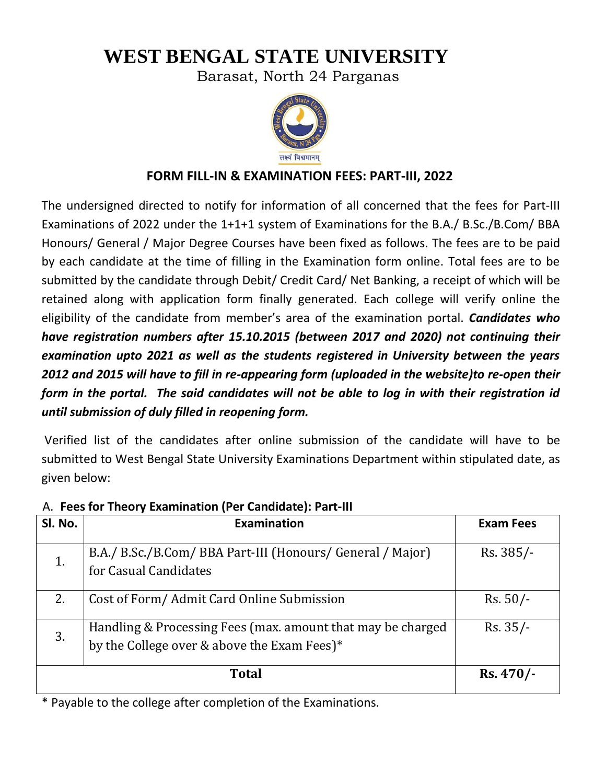# **WEST BENGAL STATE UNIVERSITY**

Barasat, North 24 Parganas



# **FORM FILL-IN & EXAMINATION FEES: PART-III, 2022**

The undersigned directed to notify for information of all concerned that the fees for Part-III Examinations of 2022 under the 1+1+1 system of Examinations for the B.A./ B.Sc./B.Com/ BBA Honours/ General / Major Degree Courses have been fixed as follows. The fees are to be paid by each candidate at the time of filling in the Examination form online. Total fees are to be submitted by the candidate through Debit/ Credit Card/ Net Banking, a receipt of which will be retained along with application form finally generated. Each college will verify online the eligibility of the candidate from member's area of the examination portal. *Candidates who have registration numbers after 15.10.2015 (between 2017 and 2020) not continuing their examination upto 2021 as well as the students registered in University between the years 2012 and 2015 will have to fill in re-appearing form (uploaded in the website)to re-open their form in the portal. The said candidates will not be able to log in with their registration id until submission of duly filled in reopening form.* 

Verified list of the candidates after online submission of the candidate will have to be submitted to West Bengal State University Examinations Department within stipulated date, as given below:

| SI. No. | <b>Examination</b>                                          | <b>Exam Fees</b> |
|---------|-------------------------------------------------------------|------------------|
|         |                                                             |                  |
| 1.      | B.A./ B.Sc./B.Com/ BBA Part-III (Honours/ General / Major)  | Rs. 385/-        |
|         | for Casual Candidates                                       |                  |
| 2.      | Cost of Form/ Admit Card Online Submission                  | $Rs. 50/-$       |
| 3.      | Handling & Processing Fees (max. amount that may be charged | $Rs. 35/-$       |
|         | by the College over & above the Exam Fees)*                 |                  |
|         | <b>Total</b>                                                | $Rs.470/-$       |
|         |                                                             |                  |

### A. **Fees for Theory Examination (Per Candidate): Part-III**

\* Payable to the college after completion of the Examinations.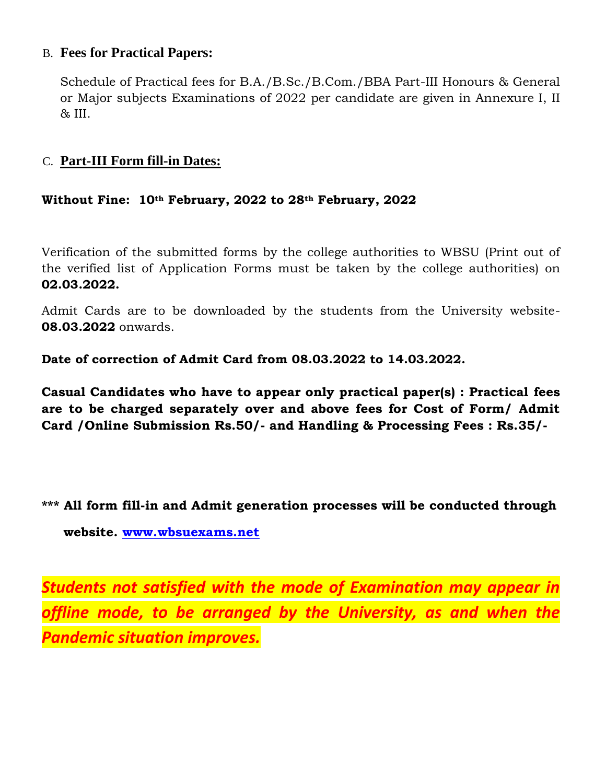## B. **Fees for Practical Papers:**

Schedule of Practical fees for B.A./B.Sc./B.Com./BBA Part-III Honours & General or Major subjects Examinations of 2022 per candidate are given in Annexure I, II & III.

## C. **Part-III Form fill-in Dates:**

## **Without Fine: 10th February, 2022 to 28th February, 2022**

Verification of the submitted forms by the college authorities to WBSU (Print out of the verified list of Application Forms must be taken by the college authorities) on **02.03.2022.**

Admit Cards are to be downloaded by the students from the University website-**08.03.2022** onwards.

**Date of correction of Admit Card from 08.03.2022 to 14.03.2022.**

**Casual Candidates who have to appear only practical paper(s) : Practical fees are to be charged separately over and above fees for Cost of Form/ Admit Card /Online Submission Rs.50/- and Handling & Processing Fees : Rs.35/-**

**\*\*\* All form fill-in and Admit generation processes will be conducted through website. [www.wbsuexams.net](http://www.wbsuexams.net/)**

*Students not satisfied with the mode of Examination may appear in*  offline mode, to be arranged by the University, as and when the *Pandemic situation improves.*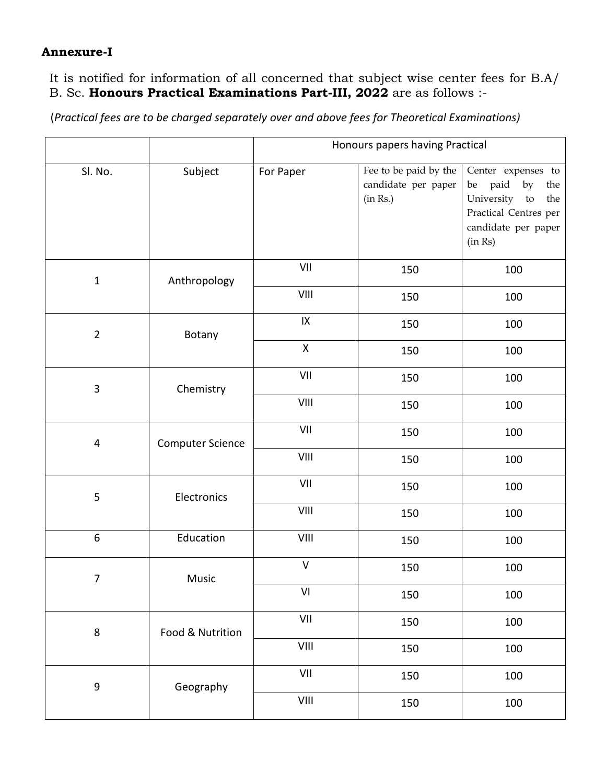#### **Annexure-I**

It is notified for information of all concerned that subject wise center fees for B.A/ B. Sc. **Honours Practical Examinations Part-III, 2022** are as follows :-

(*Practical fees are to be charged separately over and above fees for Theoretical Examinations)*

|                |                         | Honours papers having Practical                                  |                                                          |                                                                                                                            |
|----------------|-------------------------|------------------------------------------------------------------|----------------------------------------------------------|----------------------------------------------------------------------------------------------------------------------------|
| Sl. No.        | Subject                 | For Paper                                                        | Fee to be paid by the<br>candidate per paper<br>(in Rs.) | Center expenses to<br>be paid by<br>the<br>University to<br>the<br>Practical Centres per<br>candidate per paper<br>(in Rs) |
| $\mathbf{1}$   | Anthropology            | VII                                                              | 150                                                      | 100                                                                                                                        |
|                |                         | VIII                                                             | 150                                                      | 100                                                                                                                        |
| $\overline{2}$ | Botany                  | $\sf IX$                                                         | 150                                                      | 100                                                                                                                        |
|                |                         | $\mathsf X$                                                      | 150                                                      | 100                                                                                                                        |
| $\overline{3}$ | Chemistry               | VII                                                              | 150                                                      | 100                                                                                                                        |
|                |                         | VIII                                                             | 150                                                      | 100                                                                                                                        |
| $\overline{4}$ | <b>Computer Science</b> | VII                                                              | 150                                                      | 100                                                                                                                        |
|                |                         | VIII                                                             | 150                                                      | 100                                                                                                                        |
| 5              | Electronics             | VII                                                              | 150                                                      | 100                                                                                                                        |
|                |                         | VIII                                                             | 150                                                      | 100                                                                                                                        |
| 6              | Education               | VIII                                                             | 150                                                      | 100                                                                                                                        |
| 7              | Music                   | $\mathsf{V}$                                                     | 150                                                      | 100                                                                                                                        |
|                |                         | VI                                                               | 150                                                      | 100                                                                                                                        |
| $\,8\,$        | Food & Nutrition        | VII                                                              | 150                                                      | 100                                                                                                                        |
|                |                         | VIII                                                             | 150                                                      | 100                                                                                                                        |
| $\mathsf 9$    | Geography               | VII                                                              | 150                                                      | 100                                                                                                                        |
|                |                         | $\ensuremath{\mathsf{V}}\xspace\ensuremath{\mathsf{III}}\xspace$ | 150                                                      | 100                                                                                                                        |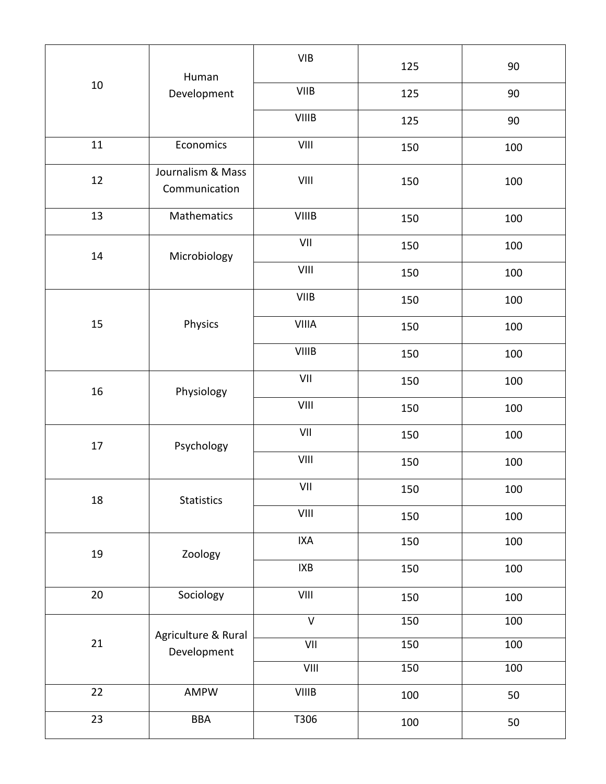|        | Human<br>Development               | <b>VIB</b>              | 125 | 90               |
|--------|------------------------------------|-------------------------|-----|------------------|
| $10\,$ |                                    | <b>VIIB</b>             | 125 | 90               |
|        |                                    | <b>VIIIB</b>            | 125 | 90               |
| 11     | Economics                          | VIII                    | 150 | 100              |
| $12\,$ | Journalism & Mass<br>Communication | VIII                    | 150 | 100              |
| 13     | Mathematics                        | <b>VIIIB</b>            | 150 | 100              |
| $14\,$ | Microbiology                       | VII                     | 150 | 100              |
|        |                                    | VIII                    | 150 | 100              |
|        |                                    | <b>VIIB</b>             | 150 | 100              |
| 15     | Physics                            | <b>VIIIA</b>            | 150 | 100              |
|        |                                    | <b>VIIIB</b>            | 150 | 100              |
| 16     | Physiology                         | VII                     | 150 | 100              |
|        |                                    | VIII                    | 150 | 100              |
| 17     | Psychology                         | VII                     | 150 | 100              |
|        |                                    | VIII                    | 150 | 100              |
| 18     | Statistics                         | VII                     | 150 | 100              |
|        |                                    |                         | 150 | 100              |
| 19     | Zoology                            | <b>IXA</b>              | 150 | 100              |
|        |                                    | $IXB$                   | 150 | 100              |
| $20\,$ | Sociology                          | VIII                    | 150 | 100              |
|        | Agriculture & Rural<br>Development | $\overline{\mathsf{V}}$ | 150 | 100              |
| 21     |                                    | VII                     | 150 | $\overline{1}00$ |
|        |                                    | VIII                    | 150 | 100              |
| 22     | AMPW                               | <b>VIIIB</b>            | 100 | 50               |
| 23     | <b>BBA</b>                         | T306                    | 100 | 50               |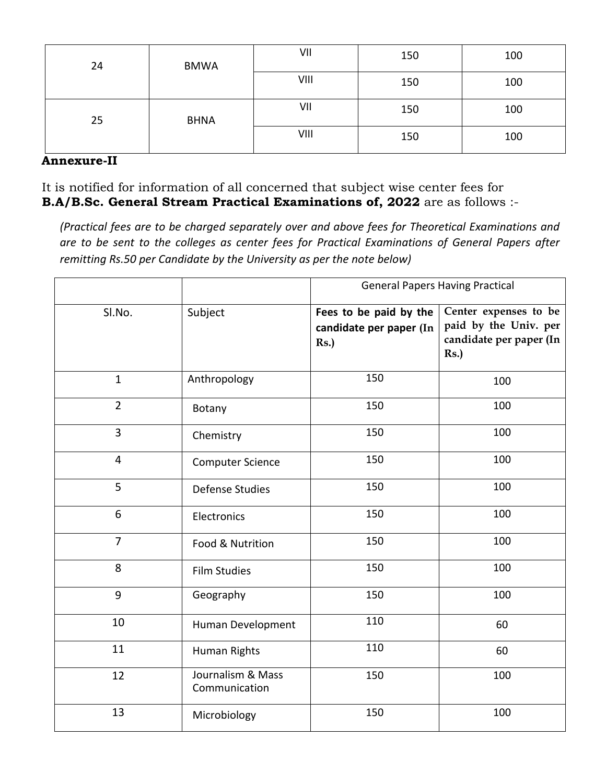| 24 | <b>BMWA</b> | VII  | 150 | 100 |
|----|-------------|------|-----|-----|
|    |             | VIII | 150 | 100 |
| 25 | <b>BHNA</b> | VII  | 150 | 100 |
|    |             | VIII | 150 | 100 |

#### **Annexure-II**

It is notified for information of all concerned that subject wise center fees for **B.A/B.Sc. General Stream Practical Examinations of, 2022** are as follows :-

*(Practical fees are to be charged separately over and above fees for Theoretical Examinations and are to be sent to the colleges as center fees for Practical Examinations of General Papers after remitting Rs.50 per Candidate by the University as per the note below)* 

|                |                                    | <b>General Papers Having Practical</b>                   |                                                                                  |  |
|----------------|------------------------------------|----------------------------------------------------------|----------------------------------------------------------------------------------|--|
| SI.No.         | Subject                            | Fees to be paid by the<br>candidate per paper (In<br>Rs. | Center expenses to be<br>paid by the Univ. per<br>candidate per paper (In<br>Rs. |  |
| $\mathbf{1}$   | Anthropology                       | 150                                                      | 100                                                                              |  |
| $\overline{2}$ | Botany                             | 150                                                      | 100                                                                              |  |
| 3              | Chemistry                          | 150                                                      | 100                                                                              |  |
| $\overline{4}$ | <b>Computer Science</b>            | 150                                                      | 100                                                                              |  |
| 5              | <b>Defense Studies</b>             | 150                                                      | 100                                                                              |  |
| 6              | Electronics                        | 150                                                      | 100                                                                              |  |
| $\overline{7}$ | Food & Nutrition                   | 150                                                      | 100                                                                              |  |
| 8              | <b>Film Studies</b>                | 150                                                      | 100                                                                              |  |
| 9              | Geography                          | 150                                                      | 100                                                                              |  |
| 10             | Human Development                  | 110                                                      | 60                                                                               |  |
| 11             | Human Rights                       | 110                                                      | 60                                                                               |  |
| 12             | Journalism & Mass<br>Communication | 150                                                      | 100                                                                              |  |
| 13             | Microbiology                       | 150                                                      | 100                                                                              |  |